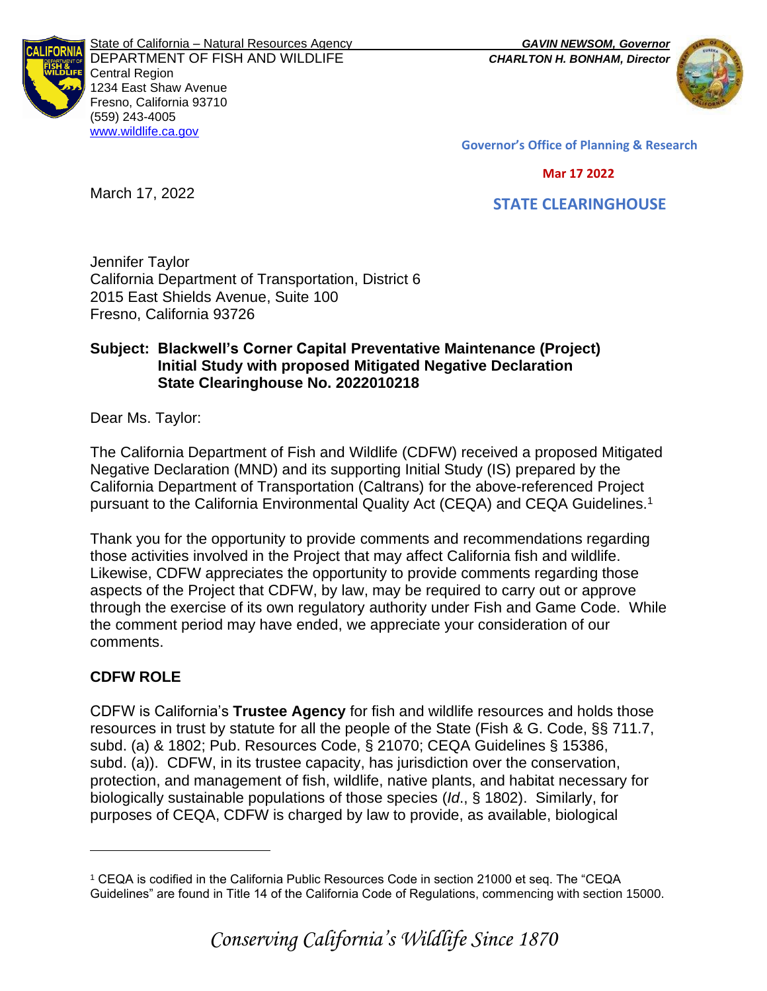

State of California – Natural Resources Agency *GAVIN NEWSOM, Governor* DEPARTMENT OF FISH AND WILDLIFE *CHARLTON H. BONHAM, Director*  Central Region 1234 East Shaw Avenue Fresno, California 93710 (559) 243-4005 [www.wildlife.ca.gov](http://www.cdfw.ca.gov/)



**Governor's Office of Planning & Research**

#### **Mar 17 2022**

 **STATE CLEARINGHOUSE**

Jennifer Taylor California Department of Transportation, District 6 2015 East Shields Avenue, Suite 100 Fresno, California 93726

### **Subject: Blackwell's Corner Capital Preventative Maintenance (Project) Initial Study with proposed Mitigated Negative Declaration State Clearinghouse No. 2022010218**

Dear Ms. Taylor:

March 17, 2022

The California Department of Fish and Wildlife (CDFW) received a proposed Mitigated Negative Declaration (MND) and its supporting Initial Study (IS) prepared by the California Department of Transportation (Caltrans) for the above-referenced Project pursuant to the California Environmental Quality Act (CEQA) and CEQA Guidelines.<sup>1</sup>

Thank you for the opportunity to provide comments and recommendations regarding those activities involved in the Project that may affect California fish and wildlife. Likewise, CDFW appreciates the opportunity to provide comments regarding those aspects of the Project that CDFW, by law, may be required to carry out or approve through the exercise of its own regulatory authority under Fish and Game Code. While the comment period may have ended, we appreciate your consideration of our comments.

# **CDFW ROLE**

CDFW is California's **Trustee Agency** for fish and wildlife resources and holds those resources in trust by statute for all the people of the State (Fish & G. Code, §§ 711.7, subd. (a) & 1802; Pub. Resources Code, § 21070; CEQA Guidelines § 15386, subd. (a)). CDFW, in its trustee capacity, has jurisdiction over the conservation, protection, and management of fish, wildlife, native plants, and habitat necessary for biologically sustainable populations of those species (*Id*., § 1802). Similarly, for purposes of CEQA, CDFW is charged by law to provide, as available, biological

<sup>1</sup> CEQA is codified in the California Public Resources Code in section 21000 et seq. The "CEQA Guidelines" are found in Title 14 of the California Code of Regulations, commencing with section 15000.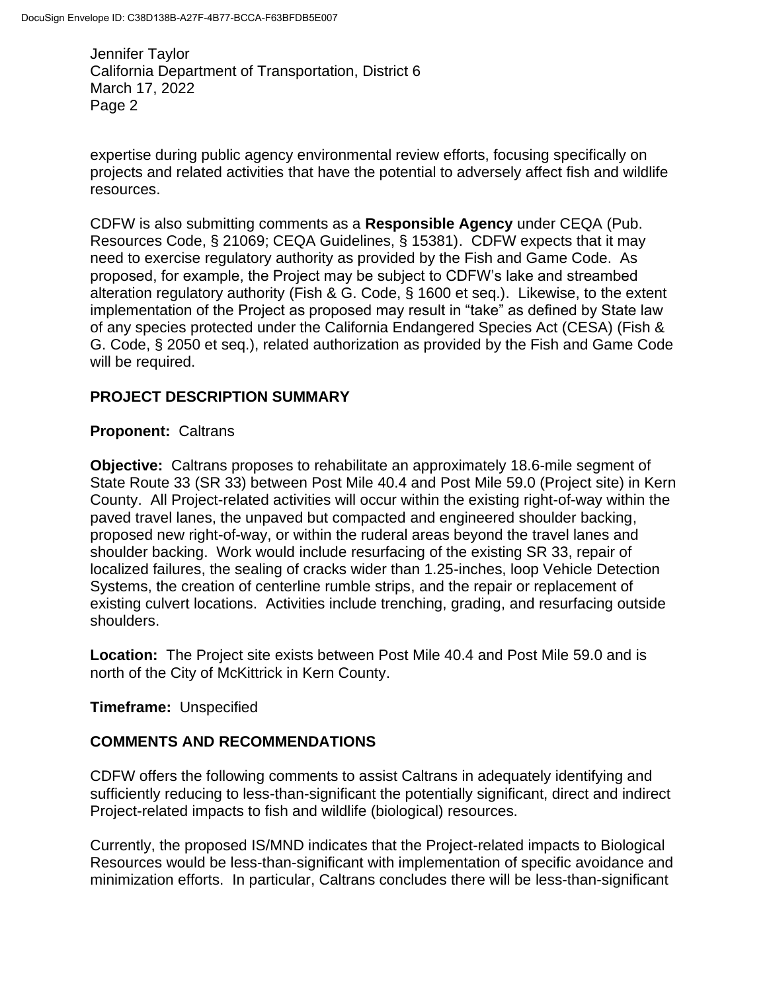expertise during public agency environmental review efforts, focusing specifically on projects and related activities that have the potential to adversely affect fish and wildlife resources.

CDFW is also submitting comments as a **Responsible Agency** under CEQA (Pub. Resources Code, § 21069; CEQA Guidelines, § 15381). CDFW expects that it may need to exercise regulatory authority as provided by the Fish and Game Code. As proposed, for example, the Project may be subject to CDFW's lake and streambed alteration regulatory authority (Fish & G. Code, § 1600 et seq.). Likewise, to the extent implementation of the Project as proposed may result in "take" as defined by State law of any species protected under the California Endangered Species Act (CESA) (Fish & G. Code, § 2050 et seq.), related authorization as provided by the Fish and Game Code will be required.

## **PROJECT DESCRIPTION SUMMARY**

### **Proponent:** Caltrans

**Objective:** Caltrans proposes to rehabilitate an approximately 18.6-mile segment of State Route 33 (SR 33) between Post Mile 40.4 and Post Mile 59.0 (Project site) in Kern County. All Project-related activities will occur within the existing right-of-way within the paved travel lanes, the unpaved but compacted and engineered shoulder backing, proposed new right-of-way, or within the ruderal areas beyond the travel lanes and shoulder backing. Work would include resurfacing of the existing SR 33, repair of localized failures, the sealing of cracks wider than 1.25-inches, loop Vehicle Detection Systems, the creation of centerline rumble strips, and the repair or replacement of existing culvert locations. Activities include trenching, grading, and resurfacing outside shoulders.

**Location:** The Project site exists between Post Mile 40.4 and Post Mile 59.0 and is north of the City of McKittrick in Kern County.

### **Timeframe:** Unspecified

### **COMMENTS AND RECOMMENDATIONS**

CDFW offers the following comments to assist Caltrans in adequately identifying and sufficiently reducing to less-than-significant the potentially significant, direct and indirect Project-related impacts to fish and wildlife (biological) resources.

Currently, the proposed IS/MND indicates that the Project-related impacts to Biological Resources would be less-than-significant with implementation of specific avoidance and minimization efforts. In particular, Caltrans concludes there will be less-than-significant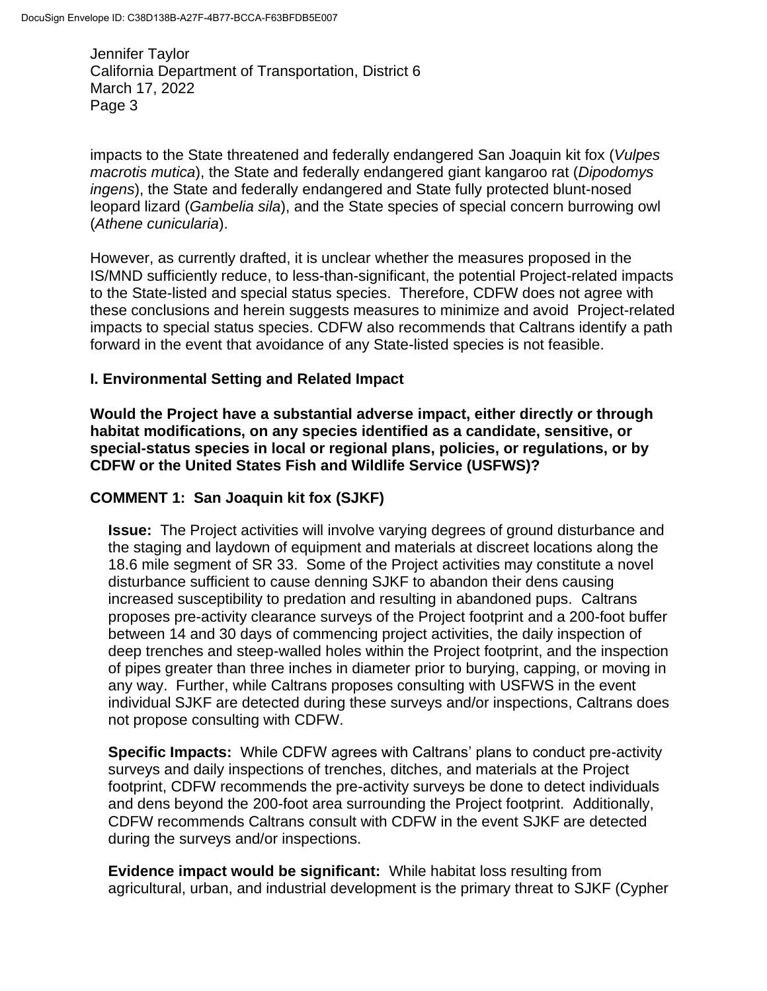impacts to the State threatened and federally endangered San Joaquin kit fox (*Vulpes macrotis mutica*), the State and federally endangered giant kangaroo rat (*Dipodomys ingens*), the State and federally endangered and State fully protected blunt-nosed leopard lizard (*Gambelia sila*), and the State species of special concern burrowing owl (*Athene cunicularia*).

However, as currently drafted, it is unclear whether the measures proposed in the IS/MND sufficiently reduce, to less-than-significant, the potential Project-related impacts to the State-listed and special status species. Therefore, CDFW does not agree with these conclusions and herein suggests measures to minimize and avoid Project-related impacts to special status species. CDFW also recommends that Caltrans identify a path forward in the event that avoidance of any State-listed species is not feasible.

## **I. Environmental Setting and Related Impact**

**Would the Project have a substantial adverse impact, either directly or through habitat modifications, on any species identified as a candidate, sensitive, or special-status species in local or regional plans, policies, or regulations, or by CDFW or the United States Fish and Wildlife Service (USFWS)?**

### **COMMENT 1: San Joaquin kit fox (SJKF)**

**Issue:** The Project activities will involve varying degrees of ground disturbance and the staging and laydown of equipment and materials at discreet locations along the 18.6 mile segment of SR 33. Some of the Project activities may constitute a novel disturbance sufficient to cause denning SJKF to abandon their dens causing increased susceptibility to predation and resulting in abandoned pups. Caltrans proposes pre-activity clearance surveys of the Project footprint and a 200-foot buffer between 14 and 30 days of commencing project activities, the daily inspection of deep trenches and steep-walled holes within the Project footprint, and the inspection of pipes greater than three inches in diameter prior to burying, capping, or moving in any way. Further, while Caltrans proposes consulting with USFWS in the event individual SJKF are detected during these surveys and/or inspections, Caltrans does not propose consulting with CDFW.

**Specific Impacts:** While CDFW agrees with Caltrans' plans to conduct pre-activity surveys and daily inspections of trenches, ditches, and materials at the Project footprint, CDFW recommends the pre-activity surveys be done to detect individuals and dens beyond the 200-foot area surrounding the Project footprint. Additionally, CDFW recommends Caltrans consult with CDFW in the event SJKF are detected during the surveys and/or inspections.

**Evidence impact would be significant:** While habitat loss resulting from agricultural, urban, and industrial development is the primary threat to SJKF (Cypher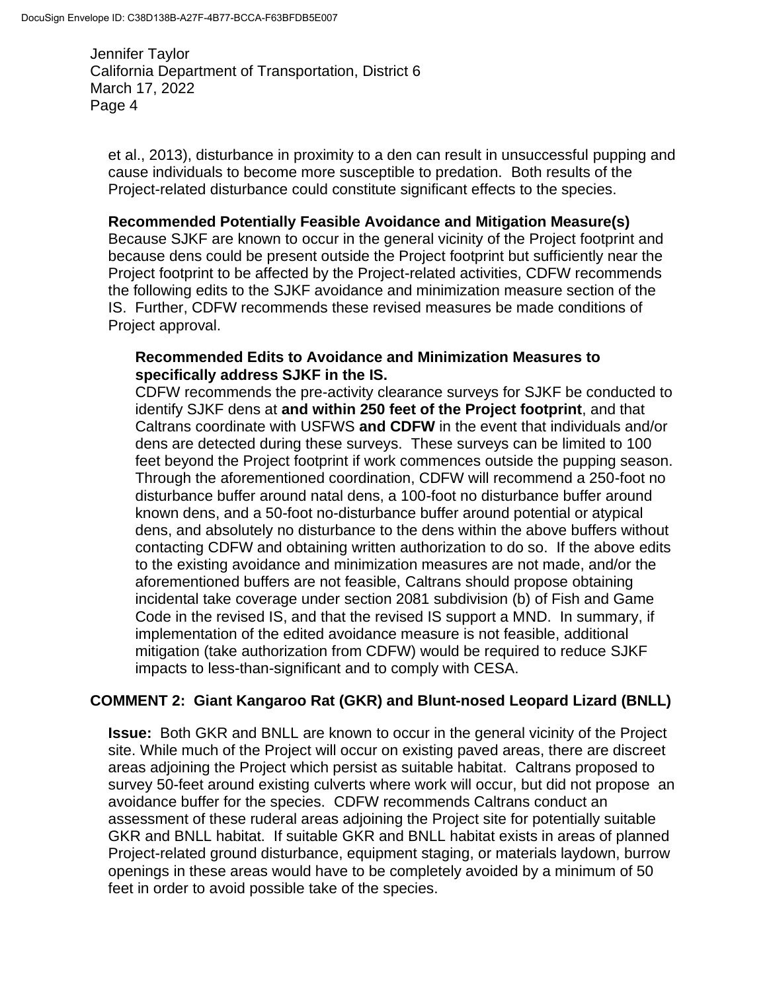et al., 2013), disturbance in proximity to a den can result in unsuccessful pupping and cause individuals to become more susceptible to predation. Both results of the Project-related disturbance could constitute significant effects to the species.

### **Recommended Potentially Feasible Avoidance and Mitigation Measure(s)**

Because SJKF are known to occur in the general vicinity of the Project footprint and because dens could be present outside the Project footprint but sufficiently near the Project footprint to be affected by the Project-related activities, CDFW recommends the following edits to the SJKF avoidance and minimization measure section of the IS. Further, CDFW recommends these revised measures be made conditions of Project approval.

#### **Recommended Edits to Avoidance and Minimization Measures to specifically address SJKF in the IS.**

CDFW recommends the pre-activity clearance surveys for SJKF be conducted to identify SJKF dens at **and within 250 feet of the Project footprint**, and that Caltrans coordinate with USFWS **and CDFW** in the event that individuals and/or dens are detected during these surveys. These surveys can be limited to 100 feet beyond the Project footprint if work commences outside the pupping season. Through the aforementioned coordination, CDFW will recommend a 250-foot no disturbance buffer around natal dens, a 100-foot no disturbance buffer around known dens, and a 50-foot no-disturbance buffer around potential or atypical dens, and absolutely no disturbance to the dens within the above buffers without contacting CDFW and obtaining written authorization to do so. If the above edits to the existing avoidance and minimization measures are not made, and/or the aforementioned buffers are not feasible, Caltrans should propose obtaining incidental take coverage under section 2081 subdivision (b) of Fish and Game Code in the revised IS, and that the revised IS support a MND. In summary, if implementation of the edited avoidance measure is not feasible, additional mitigation (take authorization from CDFW) would be required to reduce SJKF impacts to less-than-significant and to comply with CESA.

### **COMMENT 2: Giant Kangaroo Rat (GKR) and Blunt-nosed Leopard Lizard (BNLL)**

**Issue:** Both GKR and BNLL are known to occur in the general vicinity of the Project site. While much of the Project will occur on existing paved areas, there are discreet areas adjoining the Project which persist as suitable habitat. Caltrans proposed to survey 50-feet around existing culverts where work will occur, but did not propose an avoidance buffer for the species. CDFW recommends Caltrans conduct an assessment of these ruderal areas adjoining the Project site for potentially suitable GKR and BNLL habitat. If suitable GKR and BNLL habitat exists in areas of planned Project-related ground disturbance, equipment staging, or materials laydown, burrow openings in these areas would have to be completely avoided by a minimum of 50 feet in order to avoid possible take of the species.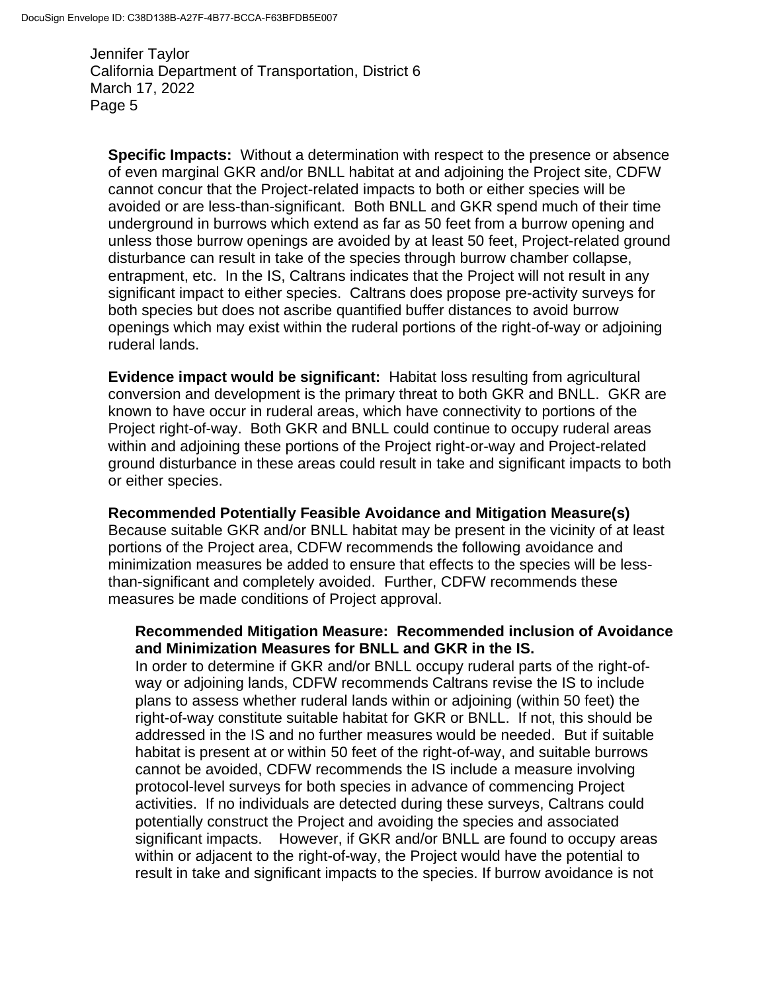**Specific Impacts:** Without a determination with respect to the presence or absence of even marginal GKR and/or BNLL habitat at and adjoining the Project site, CDFW cannot concur that the Project-related impacts to both or either species will be avoided or are less-than-significant. Both BNLL and GKR spend much of their time underground in burrows which extend as far as 50 feet from a burrow opening and unless those burrow openings are avoided by at least 50 feet, Project-related ground disturbance can result in take of the species through burrow chamber collapse, entrapment, etc. In the IS, Caltrans indicates that the Project will not result in any significant impact to either species. Caltrans does propose pre-activity surveys for both species but does not ascribe quantified buffer distances to avoid burrow openings which may exist within the ruderal portions of the right-of-way or adjoining ruderal lands.

**Evidence impact would be significant:** Habitat loss resulting from agricultural conversion and development is the primary threat to both GKR and BNLL. GKR are known to have occur in ruderal areas, which have connectivity to portions of the Project right-of-way. Both GKR and BNLL could continue to occupy ruderal areas within and adjoining these portions of the Project right-or-way and Project-related ground disturbance in these areas could result in take and significant impacts to both or either species.

**Recommended Potentially Feasible Avoidance and Mitigation Measure(s)** Because suitable GKR and/or BNLL habitat may be present in the vicinity of at least portions of the Project area, CDFW recommends the following avoidance and minimization measures be added to ensure that effects to the species will be lessthan-significant and completely avoided. Further, CDFW recommends these measures be made conditions of Project approval.

### **Recommended Mitigation Measure: Recommended inclusion of Avoidance and Minimization Measures for BNLL and GKR in the IS.**

In order to determine if GKR and/or BNLL occupy ruderal parts of the right-ofway or adjoining lands, CDFW recommends Caltrans revise the IS to include plans to assess whether ruderal lands within or adjoining (within 50 feet) the right-of-way constitute suitable habitat for GKR or BNLL. If not, this should be addressed in the IS and no further measures would be needed. But if suitable habitat is present at or within 50 feet of the right-of-way, and suitable burrows cannot be avoided, CDFW recommends the IS include a measure involving protocol-level surveys for both species in advance of commencing Project activities. If no individuals are detected during these surveys, Caltrans could potentially construct the Project and avoiding the species and associated significant impacts. However, if GKR and/or BNLL are found to occupy areas within or adjacent to the right-of-way, the Project would have the potential to result in take and significant impacts to the species. If burrow avoidance is not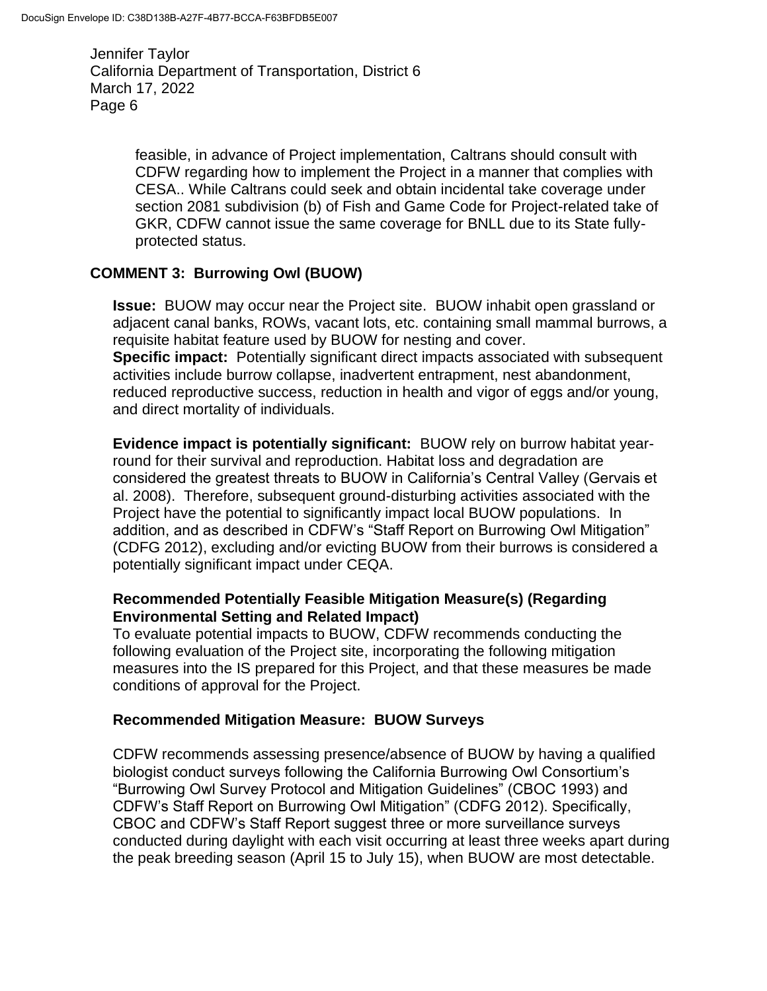> feasible, in advance of Project implementation, Caltrans should consult with CDFW regarding how to implement the Project in a manner that complies with CESA.. While Caltrans could seek and obtain incidental take coverage under section 2081 subdivision (b) of Fish and Game Code for Project-related take of GKR, CDFW cannot issue the same coverage for BNLL due to its State fullyprotected status.

## **COMMENT 3: Burrowing Owl (BUOW)**

**Issue:** BUOW may occur near the Project site. BUOW inhabit open grassland or adjacent canal banks, ROWs, vacant lots, etc. containing small mammal burrows, a requisite habitat feature used by BUOW for nesting and cover. **Specific impact:** Potentially significant direct impacts associated with subsequent activities include burrow collapse, inadvertent entrapment, nest abandonment, reduced reproductive success, reduction in health and vigor of eggs and/or young, and direct mortality of individuals.

**Evidence impact is potentially significant:** BUOW rely on burrow habitat yearround for their survival and reproduction. Habitat loss and degradation are considered the greatest threats to BUOW in California's Central Valley (Gervais et al. 2008). Therefore, subsequent ground-disturbing activities associated with the Project have the potential to significantly impact local BUOW populations. In addition, and as described in CDFW's "Staff Report on Burrowing Owl Mitigation" (CDFG 2012), excluding and/or evicting BUOW from their burrows is considered a potentially significant impact under CEQA.

### **Recommended Potentially Feasible Mitigation Measure(s) (Regarding Environmental Setting and Related Impact)**

To evaluate potential impacts to BUOW, CDFW recommends conducting the following evaluation of the Project site, incorporating the following mitigation measures into the IS prepared for this Project, and that these measures be made conditions of approval for the Project.

### **Recommended Mitigation Measure: BUOW Surveys**

CDFW recommends assessing presence/absence of BUOW by having a qualified biologist conduct surveys following the California Burrowing Owl Consortium's "Burrowing Owl Survey Protocol and Mitigation Guidelines" (CBOC 1993) and CDFW's Staff Report on Burrowing Owl Mitigation" (CDFG 2012). Specifically, CBOC and CDFW's Staff Report suggest three or more surveillance surveys conducted during daylight with each visit occurring at least three weeks apart during the peak breeding season (April 15 to July 15), when BUOW are most detectable.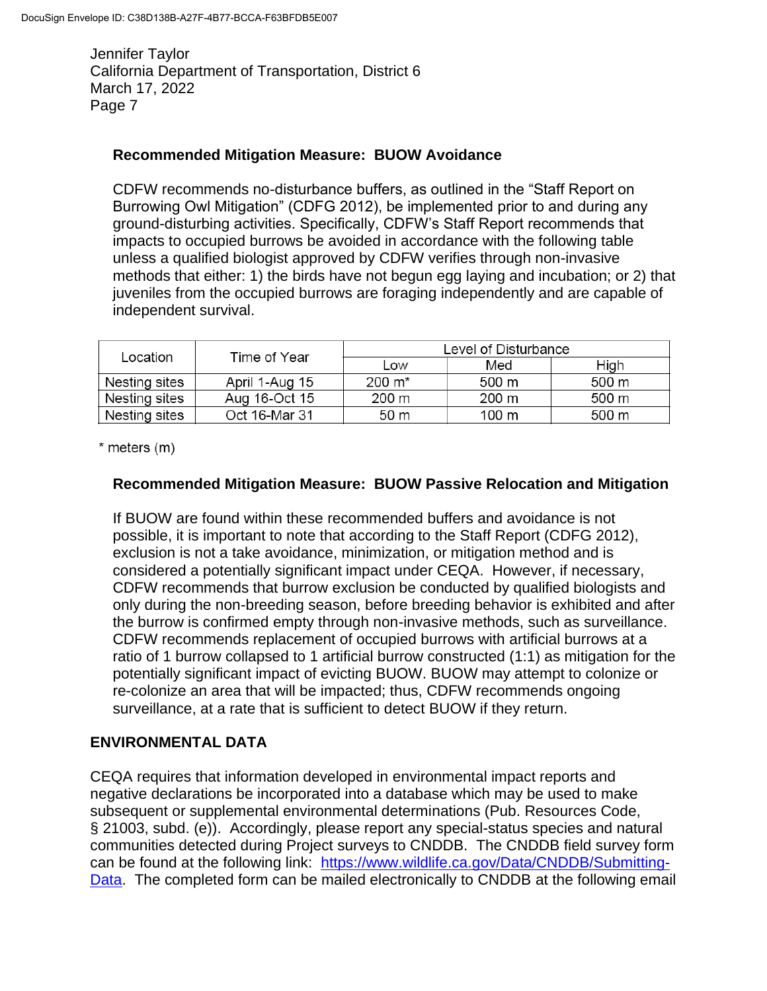### **Recommended Mitigation Measure: BUOW Avoidance**

CDFW recommends no-disturbance buffers, as outlined in the "Staff Report on Burrowing Owl Mitigation" (CDFG 2012), be implemented prior to and during any ground-disturbing activities. Specifically, CDFW's Staff Report recommends that impacts to occupied burrows be avoided in accordance with the following table unless a qualified biologist approved by CDFW verifies through non-invasive methods that either: 1) the birds have not begun egg laying and incubation; or 2) that juveniles from the occupied burrows are foraging independently and are capable of independent survival.

| Location      | Time of Year   | Level of Disturbance |       |                     |
|---------------|----------------|----------------------|-------|---------------------|
|               |                | Low                  | Med   | High                |
| Nesting sites | April 1-Aug 15 | $200 \; \text{m}^*$  | 500 m | 500 m               |
| Nesting sites | Aug 16-Oct 15  | 200 m                | 200 m | 500 m               |
| Nesting sites | Oct 16-Mar 31  | 50 m                 | 100 m | $500 \; \mathrm{m}$ |

\* meters (m)

#### **Recommended Mitigation Measure: BUOW Passive Relocation and Mitigation**

If BUOW are found within these recommended buffers and avoidance is not possible, it is important to note that according to the Staff Report (CDFG 2012), exclusion is not a take avoidance, minimization, or mitigation method and is considered a potentially significant impact under CEQA. However, if necessary, CDFW recommends that burrow exclusion be conducted by qualified biologists and only during the non-breeding season, before breeding behavior is exhibited and after the burrow is confirmed empty through non-invasive methods, such as surveillance. CDFW recommends replacement of occupied burrows with artificial burrows at a ratio of 1 burrow collapsed to 1 artificial burrow constructed (1:1) as mitigation for the potentially significant impact of evicting BUOW. BUOW may attempt to colonize or re-colonize an area that will be impacted; thus, CDFW recommends ongoing surveillance, at a rate that is sufficient to detect BUOW if they return.

### **ENVIRONMENTAL DATA**

CEQA requires that information developed in environmental impact reports and negative declarations be incorporated into a database which may be used to make subsequent or supplemental environmental determinations (Pub. Resources Code, § 21003, subd. (e)). Accordingly, please report any special-status species and natural communities detected during Project surveys to CNDDB. The CNDDB field survey form can be found at the following link: [https://www.wildlife.ca.gov/Data/CNDDB/Submitting-](https://www.wildlife.ca.gov/Data/CNDDB/Submitting-Data)[Data.](https://www.wildlife.ca.gov/Data/CNDDB/Submitting-Data) The completed form can be mailed electronically to CNDDB at the following email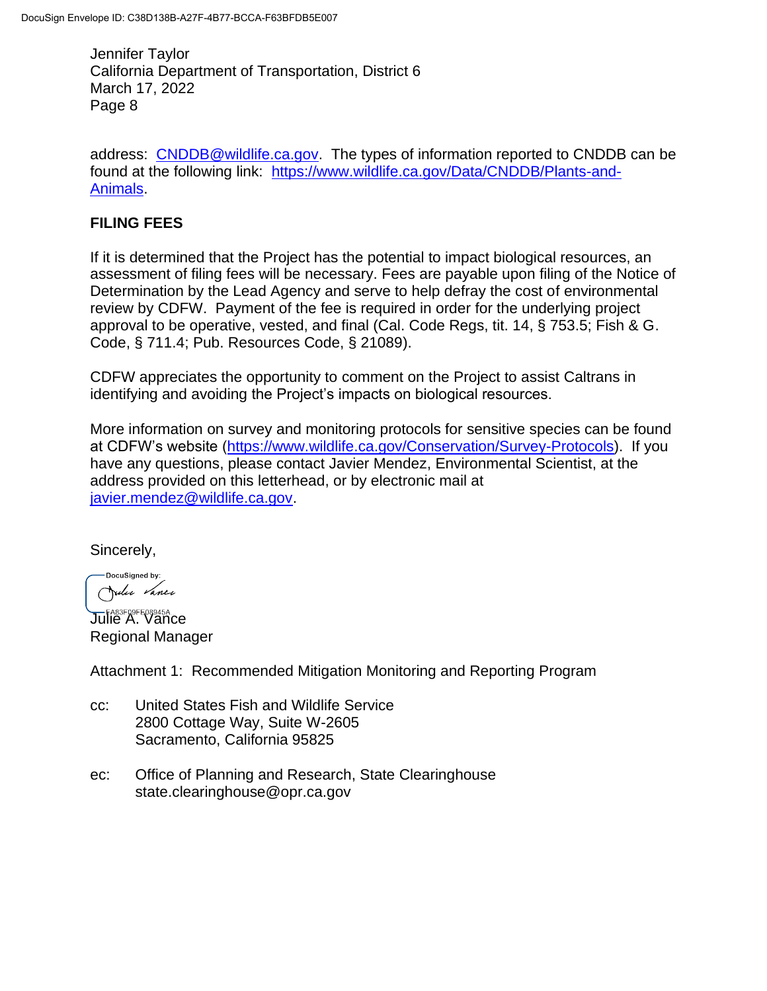address: [CNDDB@wildlife.ca.gov.](mailto:CNDDB@wildlife.ca.gov) The types of information reported to CNDDB can be found at the following link: [https://www.wildlife.ca.gov/Data/CNDDB/Plants-and-](https://www.wildlife.ca.gov/Data/CNDDB/Plants-and-Animals)[Animals.](https://www.wildlife.ca.gov/Data/CNDDB/Plants-and-Animals)

### **FILING FEES**

If it is determined that the Project has the potential to impact biological resources, an assessment of filing fees will be necessary. Fees are payable upon filing of the Notice of Determination by the Lead Agency and serve to help defray the cost of environmental review by CDFW. Payment of the fee is required in order for the underlying project approval to be operative, vested, and final (Cal. Code Regs, tit. 14, § 753.5; Fish & G. Code, § 711.4; Pub. Resources Code, § 21089).

CDFW appreciates the opportunity to comment on the Project to assist Caltrans in identifying and avoiding the Project's impacts on biological resources.

More information on survey and monitoring protocols for sensitive species can be found at CDFW's website [\(https://www.wildlife.ca.gov/Conservation/Survey-Protocols\)](https://www.wildlife.ca.gov/Conservation/Survey-Protocols). If you have any questions, please contact Javier Mendez, Environmental Scientist, at the address provided on this letterhead, or by electronic mail at [javier.mendez@wildlife.ca.gov.](mailto:javier.mendez@wildlife.ca.gov)

Sincerely,

DocuSianed by: Julie Vance

**Julie A. Vance** Regional Manager

Attachment 1: Recommended Mitigation Monitoring and Reporting Program

- cc: United States Fish and Wildlife Service 2800 Cottage Way, Suite W-2605 Sacramento, California 95825
- ec: Office of Planning and Research, State Clearinghouse state.clearinghouse@opr.ca.gov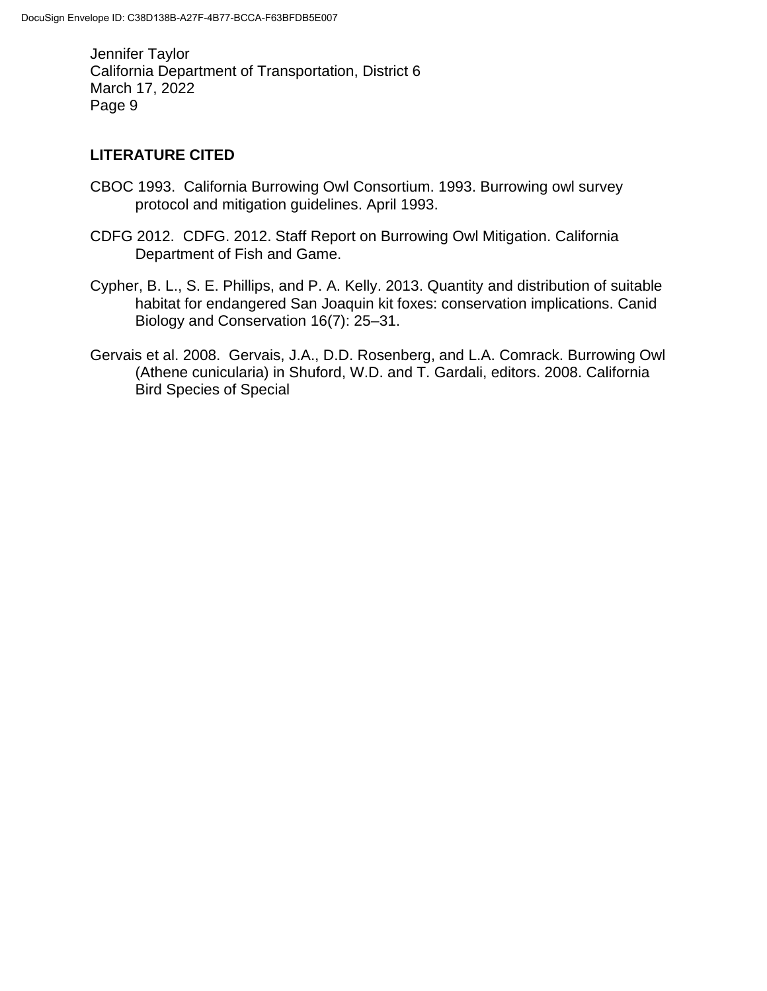# **LITERATURE CITED**

- CBOC 1993. California Burrowing Owl Consortium. 1993. Burrowing owl survey protocol and mitigation guidelines. April 1993.
- CDFG 2012. CDFG. 2012. Staff Report on Burrowing Owl Mitigation. California Department of Fish and Game.
- Cypher, B. L., S. E. Phillips, and P. A. Kelly. 2013. Quantity and distribution of suitable habitat for endangered San Joaquin kit foxes: conservation implications. Canid Biology and Conservation 16(7): 25–31.
- Gervais et al. 2008. Gervais, J.A., D.D. Rosenberg, and L.A. Comrack. Burrowing Owl (Athene cunicularia) in Shuford, W.D. and T. Gardali, editors. 2008. California Bird Species of Special